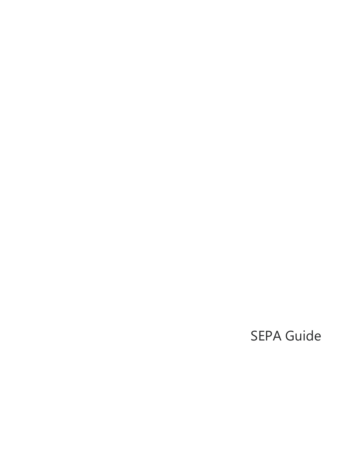### SEPA Guide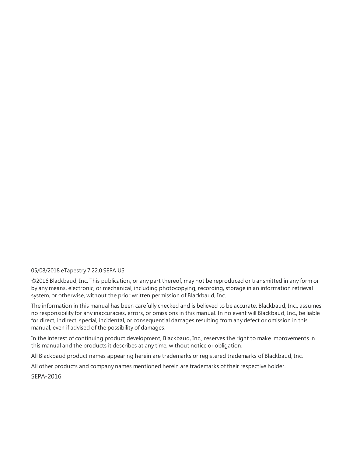#### 05/08/2018 eTapestry 7.22.0 SEPA US

©2016 Blackbaud, Inc. This publication, or any part thereof, may not be reproduced or transmitted in any form or by any means, electronic, or mechanical, including photocopying, recording, storage in an information retrieval system, or otherwise, without the prior written permission of Blackbaud, Inc.

The information in this manual has been carefully checked and is believed to be accurate. Blackbaud, Inc., assumes no responsibility for any inaccuracies, errors, or omissions in this manual. In no event will Blackbaud, Inc., be liable for direct, indirect, special, incidental, or consequential damages resulting from any defect or omission in this manual, even if advised of the possibility of damages.

In the interest of continuing product development, Blackbaud, Inc., reserves the right to make improvements in this manual and the products it describes at any time, without notice or obligation.

All Blackbaud product names appearing herein are trademarks or registered trademarks of Blackbaud, Inc.

All other products and company names mentioned herein are trademarks of their respective holder.

SEPA-2016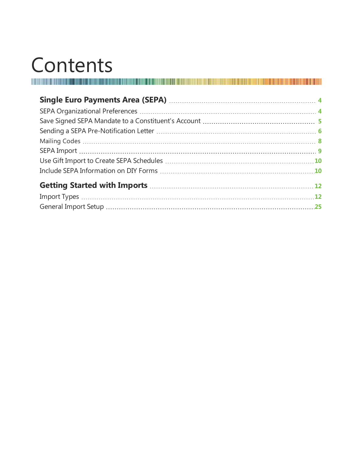# Contents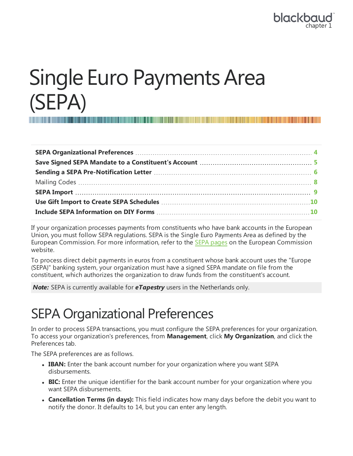#### blackbo chapter 1

## <span id="page-3-0"></span>Single Euro Payments Area (SEPA)

If your organization processes payments from constituents who have bank accounts in the European Union, you must follow SEPA regulations. SEPA is the Single Euro Payments Area as defined by the European Commission. For more information, refer to the SEPA [pages](http://ec.europa.eu/internal_market/payments/sepa/index_en.htm) on the European Commission website.

To process direct debit payments in euros from a constituent whose bank account uses the "Europe (SEPA)" banking system, your organization must have a signed SEPA mandate on file from the constituent, which authorizes the organization to draw funds from the constituent's account.

<span id="page-3-1"></span>*Note:* SEPA is currently available for *eTapestry* users in the Netherlands only.

### SEPA Organizational Preferences

In order to process SEPA transactions, you must configure the SEPA preferences for your organization. To access your organization's preferences, from **Management**, click **My Organization**, and click the Preferences tab.

The SEPA preferences are as follows.

- **· IBAN:** Enter the bank account number for your organization where you want SEPA disbursements.
- **BIC:** Enter the unique identifier for the bank account number for your organization where you want SEPA disbursements.
- <sup>l</sup> **Cancellation Terms (in days):** This field indicates how many days before the debit you want to notify the donor. It defaults to 14, but you can enter any length.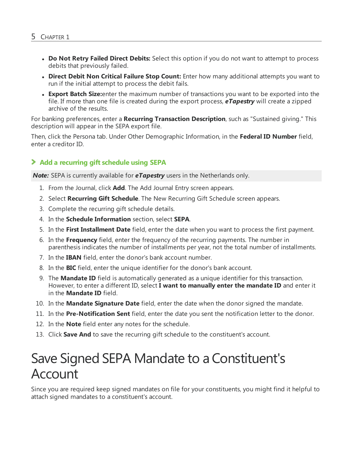- <sup>l</sup> **Do Not Retry Failed Direct Debits:** Select this option if you do not want to attempt to process debits that previously failed.
- <sup>l</sup> **Direct Debit Non Critical Failure Stop Count:** Enter how many additional attempts you want to run if the initial attempt to process the debit fails.
- **Export Batch Size:** enter the maximum number of transactions you want to be exported into the file. If more than one file is created during the export process, *eTapestry* will create a zipped archive of the results.

For banking preferences, enter a **Recurring Transaction Description**, such as "Sustained giving." This description will appear in the SEPA export file.

Then, click the Persona tab. Under Other Demographic Information, in the **Federal ID Number** field, enter a creditor ID.

#### **Add a recurring gift schedule using SEPA**

*Note:* SEPA is currently available for *eTapestry* users in the Netherlands only.

- 1. From the Journal, click **Add**. The Add Journal Entry screen appears.
- 2. Select **Recurring Gift Schedule**. The New Recurring Gift Schedule screen appears.
- 3. Complete the recurring gift schedule details.
- 4. In the **Schedule Information** section, select **SEPA**.
- 5. In the **First Installment Date** field, enter the date when you want to process the first payment.
- 6. In the **Frequency** field, enter the frequency of the recurring payments. The number in parenthesis indicates the number of installments per year, not the total number of installments.
- 7. In the **IBAN** field, enter the donor's bank account number.
- 8. In the **BIC** field, enter the unique identifier for the donor's bank account.
- 9. The **Mandate ID** field is automatically generated as a unique identifier for this transaction. However, to enter a different ID, select **I want to manually enter the mandate ID** and enter it in the **Mandate ID** field.
- 10. In the **Mandate Signature Date** field, enter the date when the donor signed the mandate.
- 11. In the **Pre-Notification Sent** field, enter the date you sent the notification letter to the donor.
- 12. In the **Note** field enter any notes for the schedule.
- <span id="page-4-0"></span>13. Click **Save And** to save the recurring gift schedule to the constituent's account.

### Save Signed SEPA Mandate to aConstituent's Account

Since you are required keep signed mandates on file for your constituents, you might find it helpful to attach signed mandates to a constituent's account.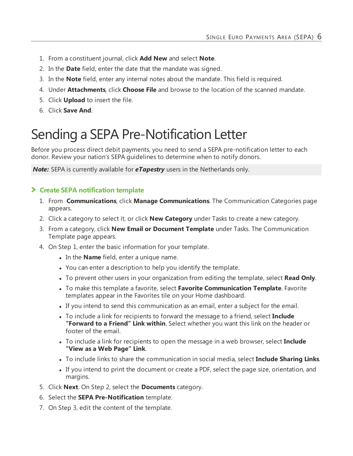- 1. From a constituent journal, click **Add New** and select **Note**.
- 2. In the **Date** field, enter the date that the mandate was signed.
- 3. In the **Note** field, enter any internal notes about the mandate. This field is required.
- 4. Under **Attachments**, click **Choose File** and browse to the location of the scanned mandate.
- 5. Click **Upload** to insert the file.
- <span id="page-5-0"></span>6. Click **Save And**.

### Sending a SEPA Pre-Notification Letter

Before you process direct debit payments, you need to send a SEPA pre-notification letter to each donor. Review your nation's SEPA guidelines to determine when to notify donors.

*Note:* SEPA is currently available for *eTapestry* users in the Netherlands only.

#### **Create SEPA notification template**

- 1. From **Communications**, click **Manage Communications**. The Communication Categories page appears.
- 2. Click a category to select it, or click **New Category** under Tasks to create a new category.
- 3. From a category, click **New Email or Document Template** under Tasks. The Communication Template page appears.
- 4. On Step 1, enter the basic information for your template.
	- In the **Name** field, enter a unique name.
	- You can enter a description to help you identify the template.
	- <sup>l</sup> To prevent other users in your organization from editing the template, select **Read Only**.
	- <sup>l</sup> To make this template a favorite, select **Favorite Communication Template**. Favorite templates appear in the Favorites tile on your Home dashboard.
	- If you intend to send this communication as an email, enter a subject for the email.
	- To include a link for recipients to forward the message to a friend, select **Include "Forward to a Friend" Link within**. Select whether you want this link on the header or footer of the email.
	- To include a link for recipients to open the message in a web browser, select **Include "View as a Web Page" Link**.
	- <sup>l</sup> To include links to share the communication in social media, select **Include Sharing Links**.
	- If you intend to print the document or create a PDF, select the page size, orientation, and margins.
- 5. Click **Next**. On Step 2, select the **Documents** category.
- 6. Select the **SEPA Pre-Notification** template.
- 7. On Step 3, edit the content of the template.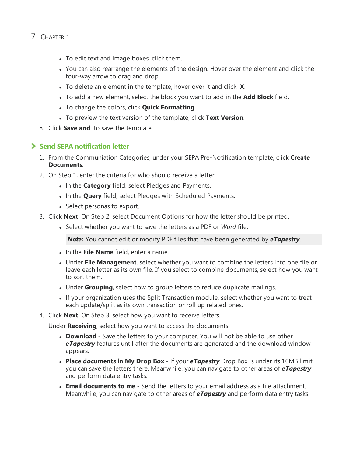- To edit text and image boxes, click them.
- You can also rearrange the elements of the design. Hover over the element and click the four-way arrow to drag and drop.
- To delete an element in the template, hover over it and click **X**.
- <sup>l</sup> To add a new element, select the block you want to add in the **Add Block** field.
- **.** To change the colors, click **Quick Formatting**.
- <sup>l</sup> To preview the text version of the template, click **Text Version**.
- 8. Click **Save and** to save the template.

#### **Send SEPA notification letter**

- 1. From the Communiation Categories, under your SEPA Pre-Notification template, click **Create Documents**.
- 2. On Step 1, enter the criteria for who should receive a letter.
	- In the **Category** field, select Pledges and Payments.
	- . In the **Query** field, select Pledges with Scheduled Payments.
	- Select personas to export.
- 3. Click **Next**. On Step 2, select Document Options for how the letter should be printed.
	- Select whether you want to save the letters as a PDF or *Word* file.

*Note:* You cannot edit or modify PDF files that have been generated by *eTapestry*.

- **.** In the File Name field, enter a name.
- **.** Under File Management, select whether you want to combine the letters into one file or leave each letter as its own file. If you select to combine documents, select how you want to sort them.
- Under Grouping, select how to group letters to reduce duplicate mailings.
- If your organization uses the Split Transaction module, select whether you want to treat each update/split as its own transaction or roll up related ones.
- 4. Click **Next**. On Step 3, select how you want to receive letters.

Under **Receiving**, select how you want to access the documents.

- **Download** Save the letters to your computer. You will not be able to use other *eTapestry* features until after the documents are generated and the download window appears.
- <sup>l</sup> **Place documents in My Drop Box** If your *eTapestry* Drop Box is under its 10MB limit, you can save the letters there. Meanwhile, you can navigate to other areas of *eTapestry* and perform data entry tasks.
- **Email documents to me** Send the letters to your email address as a file attachment. Meanwhile, you can navigate to other areas of *eTapestry* and perform data entry tasks.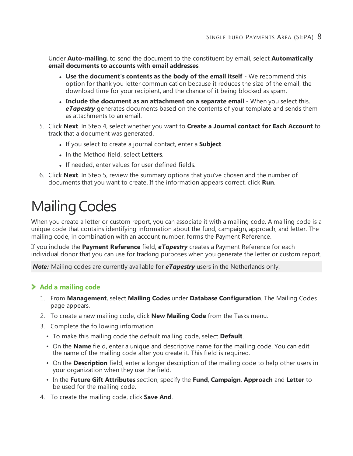Under **Auto-mailing**, to send the document to the constituent by email, select **Automatically email documents to accounts with email addresses**.

- <sup>l</sup> **Use the document's contents as the body of the email itself** We recommend this option for thank you letter communication because it reduces the size of the email, the download time for your recipient, and the chance of it being blocked as spam.
- <sup>l</sup> **Include the document as an attachment on a separate email** When you select this, *eTapestry* generates documents based on the contents of your template and sends them as attachments to an email.
- 5. Click **Next**. In Step 4, select whether you want to **Create a Journal contact for Each Account** to track that a document was generated.
	- If you select to create a journal contact, enter a **Subject**.
	- **.** In the Method field, select Letters.
	- If needed, enter values for user defined fields.
- 6. Click **Next**. In Step 5, review the summary options that you've chosen and the number of documents that you want to create. If the information appears correct, click **Run**.

### <span id="page-7-0"></span>**Mailing Codes**

When you create a letter or custom report, you can associate it with a mailing code. A mailing code is a unique code that contains identifying information about the fund, campaign, approach, and letter. The mailing code, in combination with an account number, forms the Payment Reference.

If you include the **Payment Reference** field, *eTapestry* creates a Payment Reference for each individual donor that you can use for tracking purposes when you generate the letter or custom report.

*Note:* Mailing codes are currently available for *eTapestry* users in the Netherlands only.

#### **Add a mailing code**

- 1. From **Management**, select **Mailing Codes** under **Database Configuration**. The Mailing Codes page appears.
- 2. To create a new mailing code, click **New Mailing Code** from the Tasks menu.
- 3. Complete the following information.
	- To make this mailing code the default mailing code, select **Default**.
	- On the **Name** field, enter a unique and descriptive name for the mailing code. You can edit the name of the mailing code after you create it. This field is required.
	- On the **Description** field, enter a longer description of the mailing code to help other users in your organization when they use the field.
	- In the **Future Gift Attributes** section, specify the **Fund**, **Campaign**, **Approach** and **Letter** to be used for the mailing code.
- 4. To create the mailing code, click **Save And**.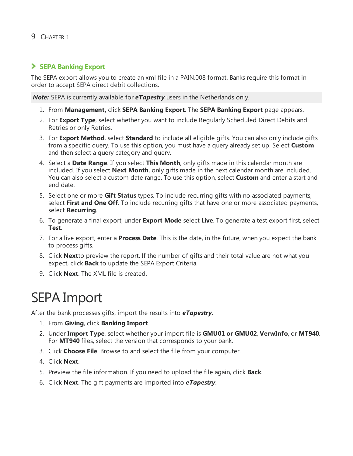#### **SEPA Banking Export**

The SEPA export allows you to create an xml file in a PAIN.008 format. Banks require this format in order to accept SEPA direct debit collections.

*Note:* SEPA is currently available for *eTapestry* users in the Netherlands only.

- 1. From **Management,** click **SEPA Banking Export**. The **SEPA Banking Export** page appears.
- 2. For **Export Type**, select whether you want to include Regularly Scheduled Direct Debits and Retries or only Retries.
- 3. For **Export Method**, select **Standard** to include all eligible gifts. You can also only include gifts from a specific query. To use this option, you must have a query already set up. Select **Custom** and then select a query category and query.
- 4. Select a **Date Range**. If you select **This Month**, only gifts made in this calendar month are included. If you select **Next Month**, only gifts made in the next calendar month are included. You can also select a custom date range. To use this option, select **Custom** and enter a start and end date.
- 5. Select one or more **Gift Status** types. To include recurring gifts with no associated payments, select **First and One Off**. To include recurring gifts that have one or more associated payments, select **Recurring**.
- 6. To generate a final export, under **Export Mode** select **Live**. To generate a test export first, select **Test**.
- 7. For a live export, enter a **Process Date**. This is the date, in the future, when you expect the bank to process gifts.
- 8. Click **Next**to preview the report. If the number of gifts and their total value are not what you expect, click **Back** to update the SEPA Export Criteria.
- <span id="page-8-0"></span>9. Click **Next**. The XML file is created.

### SEPA Import

After the bank processes gifts, import the results into *eTapestry*.

- 1. From **Giving**, click **Banking Import**.
- 2. Under **Import Type**, select whether your import file is **GMU01 or GMU02**, **VerwInfo**, or **MT940**. For **MT940** files, select the version that corresponds to your bank.
- 3. Click **Choose File**. Browse to and select the file from your computer.
- 4. Click **Next**.
- 5. Preview the file information. If you need to upload the file again, click **Back**.
- 6. Click **Next**. The gift payments are imported into *eTapestry*.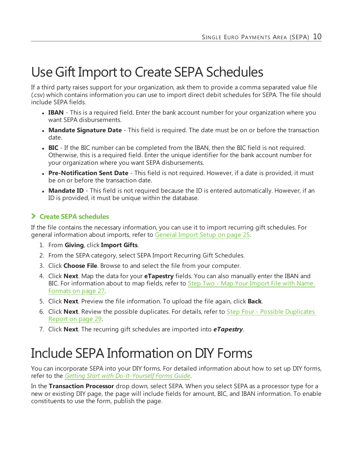### <span id="page-9-0"></span>Use Gift Import to Create SEPA Schedules

If a third party raises support for your organization, ask them to provide a comma separated value file (.csv) which contains information you can use to import direct debit schedules for SEPA. The file should include SEPA fields.

- **IBAN** This is a required field. Enter the bank account number for your organization where you want SEPA disbursements.
- **Mandate Signature Date** This field is required. The date must be on or before the transaction date.
- **BIC** If the BIC number can be completed from the IBAN, then the BIC field is not required. Otherwise, this is a required field. Enter the unique identifier for the bank account number for your organization where you want SEPA disbursements.
- **Pre-Notification Sent Date** This field is not required. However, if a date is provided, it must be on or before the transaction date.
- **Mandate ID** This field is not required because the ID is entered automatically. However, if an ID is provided, it must be unique within the database.

#### **Create SEPA schedules**

If the file contains the necessary information, you can use it to import recurring gift schedules. For general information about imports, refer to [General](#page-24-0) Import Setup on page 25.

- 1. From **Giving**, click **Import Gifts**.
- 2. From the SEPA category, select SEPA Import Recurring Gift Schedules.
- 3. Click **Choose File**. Browse to and select the file from your computer.
- 4. Click **Next**. Map the data for your **eTapestry** fields. You can also manually enter the IBAN and BIC. For information about to map fields, refer to Step Two - Map Your [Import](#page-26-0) File with Name [Formats](#page-26-0) on page 27.
- 5. Click **Next**. Preview the file information. To upload the file again, click **Back**.
- 6. Click **Next**. Review the possible duplicates. For details, refer to Step Four Possible [Duplicates](#page-28-0) [Report](#page-28-0) on page 29.
- <span id="page-9-1"></span>7. Click **Next**. The recurring gift schedules are imported into *eTapestry*.

### Include SEPA Information on DIY Forms

You can incorporate SEPA into your DIY forms. For detailed information about how to set up DIY forms, refer to the *Getting Start with [Do-It-Yourself](https://www.blackbaud.com/files/support/guides/etap/gettingstarteddiy.pdf) Forms Guide*.

In the **Transaction Processor** drop down, select SEPA. When you select SEPA as a processor type for a new or existing DIY page, the page will include fields for amount, BIC, and IBAN information. To enable constituents to use the form, publish the page.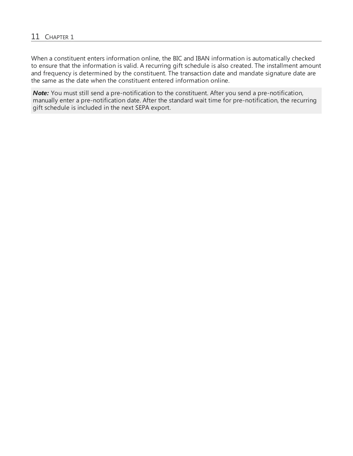When a constituent enters information online, the BIC and IBAN information is automatically checked to ensure that the information is valid. A recurring gift schedule is also created. The installment amount and frequency is determined by the constituent. The transaction date and mandate signature date are the same as the date when the constituent entered information online.

*Note:* You must still send a pre-notification to the constituent. After you send a pre-notification, manually enter a pre-notification date. After the standard wait time for pre-notification, the recurring gift schedule is included in the next SEPA export.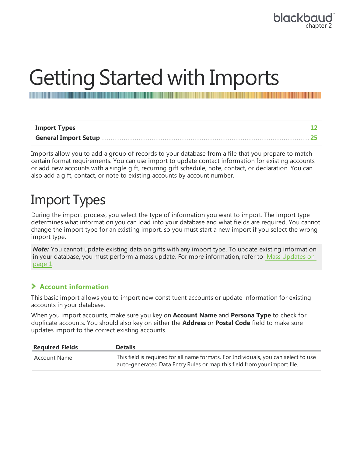## <span id="page-11-0"></span>Getting Started with Imports

Imports allow you to add a group of records to your database from a file that you prepare to match certain format requirements. You can use import to update contact information for existing accounts or add new accounts with a single gift, recurring gift schedule, note, contact, or declaration. You can also add a gift, contact, or note to existing accounts by account number.

### <span id="page-11-1"></span>Import Types

During the import process, you select the type of information you want to import. The import type determines what information you can load into your database and what fields are required. You cannot change the import type for an existing import, so you must start a new import if you select the wrong import type.

**Note:** You cannot update existing data on gifts with any import type. To update existing information in your database, you must perform a mass update. For more information, refer to Mass Updates on page 1.

#### **Account information**

This basic import allows you to import new constituent accounts or update information for existing accounts in your database.

When you import accounts, make sure you key on **Account Name** and **Persona Type** to check for duplicate accounts. You should also key on either the **Address** or **Postal Code** field to make sure updates import to the correct existing accounts.

| <b>Required Fields</b> | <b>Details</b>                                                                                                                                                  |
|------------------------|-----------------------------------------------------------------------------------------------------------------------------------------------------------------|
| Account Name           | This field is required for all name formats. For Individuals, you can select to use<br>auto-generated Data Entry Rules or map this field from your import file. |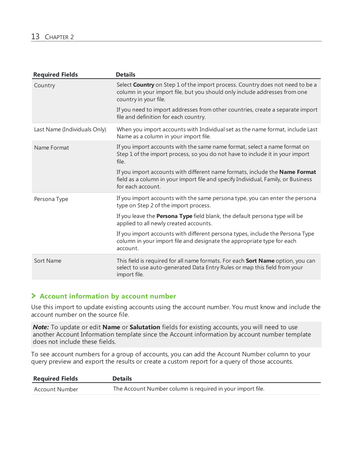| <b>Required Fields</b>       | <b>Details</b>                                                                                                                                                                        |
|------------------------------|---------------------------------------------------------------------------------------------------------------------------------------------------------------------------------------|
| Country                      | Select Country on Step 1 of the import process. Country does not need to be a<br>column in your import file, but you should only include addresses from one<br>country in your file.  |
|                              | If you need to import addresses from other countries, create a separate import<br>file and definition for each country.                                                               |
| Last Name (Individuals Only) | When you import accounts with Individual set as the name format, include Last<br>Name as a column in your import file.                                                                |
| Name Format                  | If you import accounts with the same name format, select a name format on<br>Step 1 of the import process, so you do not have to include it in your import<br>file.                   |
|                              | If you import accounts with different name formats, include the Name Format<br>field as a column in your import file and specify Individual, Family, or Business<br>for each account. |
| Persona Type                 | If you import accounts with the same persona type, you can enter the persona<br>type on Step 2 of the import process.                                                                 |
|                              | If you leave the <b>Persona Type</b> field blank, the default persona type will be<br>applied to all newly created accounts.                                                          |
|                              | If you import accounts with different persona types, include the Persona Type<br>column in your import file and designate the appropriate type for each<br>account.                   |
| Sort Name                    | This field is required for all name formats. For each Sort Name option, you can<br>select to use auto-generated Data Entry Rules or map this field from your<br>import file.          |

#### **Account information by account number**

Use this import to update existing accounts using the account number. You must know and include the account number on the source file.

*Note:* To update or edit **Name** or **Salutation** fields for existing accounts, you will need to use another Account Information template since the Account information by account number template does not include these fields.

To see account numbers for a group of accounts, you can add the Account Number column to your query preview and export the results or create a custom report for a query of those accounts.

| <b>Required Fields</b> | <b>Details</b>                                             |
|------------------------|------------------------------------------------------------|
| Account Number         | The Account Number column is required in your import file. |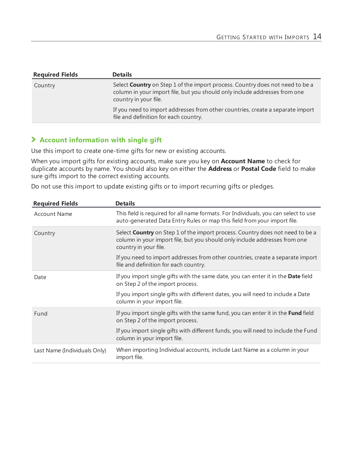| <b>Required Fields</b> | <b>Details</b>                                                                                                                                                                       |
|------------------------|--------------------------------------------------------------------------------------------------------------------------------------------------------------------------------------|
| Country                | Select Country on Step 1 of the import process. Country does not need to be a<br>column in your import file, but you should only include addresses from one<br>country in your file. |
|                        | If you need to import addresses from other countries, create a separate import<br>file and definition for each country.                                                              |

#### **Account information with single gift**

Use this import to create one-time gifts for new or existing accounts.

When you import gifts for existing accounts, make sure you key on **Account Name** to check for duplicate accounts by name. You should also key on either the **Address** or **Postal Code** field to make sure gifts import to the correct existing accounts.

Do not use this import to update existing gifts or to import recurring gifts or pledges.

| <b>Required Fields</b>       | <b>Details</b>                                                                                                                                                                              |
|------------------------------|---------------------------------------------------------------------------------------------------------------------------------------------------------------------------------------------|
| <b>Account Name</b>          | This field is required for all name formats. For Individuals, you can select to use<br>auto-generated Data Entry Rules or map this field from your import file.                             |
| Country                      | Select <b>Country</b> on Step 1 of the import process. Country does not need to be a<br>column in your import file, but you should only include addresses from one<br>country in your file. |
|                              | If you need to import addresses from other countries, create a separate import<br>file and definition for each country.                                                                     |
| Date                         | If you import single gifts with the same date, you can enter it in the Date field<br>on Step 2 of the import process.                                                                       |
|                              | If you import single gifts with different dates, you will need to include a Date<br>column in your import file.                                                                             |
| Fund                         | If you import single gifts with the same fund, you can enter it in the Fund field<br>on Step 2 of the import process.                                                                       |
|                              | If you import single gifts with different funds, you will need to include the Fund<br>column in your import file.                                                                           |
| Last Name (Individuals Only) | When importing Individual accounts, include Last Name as a column in your<br>import file.                                                                                                   |
|                              |                                                                                                                                                                                             |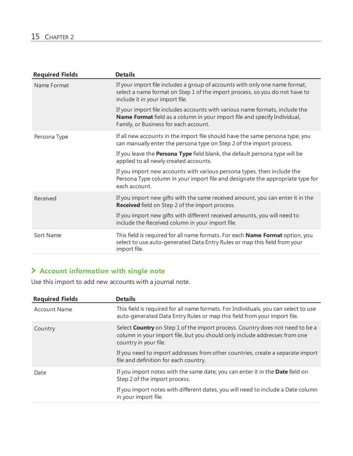| <b>Required Fields</b> | <b>Details</b>                                                                                                                                                                                            |
|------------------------|-----------------------------------------------------------------------------------------------------------------------------------------------------------------------------------------------------------|
| Name Format            | If your import file includes a group of accounts with only one name format,<br>select a name format on Step 1 of the import process, so you do not have to<br>include it in your import file.             |
|                        | If your import file includes accounts with various name formats, include the<br><b>Name Format</b> field as a column in your import file and specify Individual,<br>Family, or Business for each account. |
| Persona Type           | If all new accounts in the import file should have the same persona type, you<br>can manually enter the persona type on Step 2 of the import process.                                                     |
|                        | If you leave the <b>Persona Type</b> field blank, the default persona type will be<br>applied to all newly created accounts.                                                                              |
|                        | If you import new accounts with various persona types, then include the<br>Persona Type column in your import file and designate the appropriate type for<br>each account.                                |
| Received               | If you import new gifts with the same received amount, you can enter it in the<br><b>Received</b> field on Step 2 of the import process.                                                                  |
|                        | If you import new gifts with different received amounts, you will need to<br>include the Received column in your import file.                                                                             |
| Sort Name              | This field is required for all name formats. For each Name Format option, you<br>select to use auto-generated Data Entry Rules or map this field from your<br>import file.                                |

#### **Account information with single note**

Use this import to add new accounts with a journal note.

| <b>Required Fields</b> | <b>Details</b>                                                                                                                                                                              |
|------------------------|---------------------------------------------------------------------------------------------------------------------------------------------------------------------------------------------|
| <b>Account Name</b>    | This field is required for all name formats. For Individuals, you can select to use<br>auto-generated Data Entry Rules or map this field from your import file.                             |
| Country                | Select <b>Country</b> on Step 1 of the import process. Country does not need to be a<br>column in your import file, but you should only include addresses from one<br>country in your file. |
|                        | If you need to import addresses from other countries, create a separate import<br>file and definition for each country.                                                                     |
| Date                   | If you import notes with the same date, you can enter it in the Date field on<br>Step 2 of the import process.                                                                              |
|                        | If you import notes with different dates, you will need to include a Date column<br>in your import file.                                                                                    |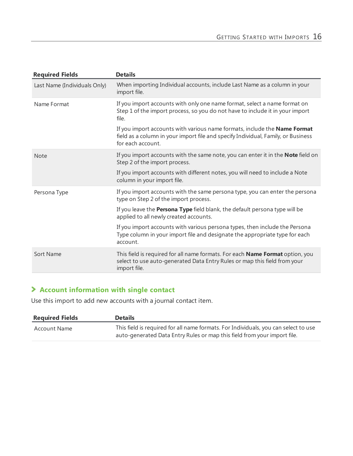| <b>Required Fields</b>       | <b>Details</b>                                                                                                                                                                      |
|------------------------------|-------------------------------------------------------------------------------------------------------------------------------------------------------------------------------------|
| Last Name (Individuals Only) | When importing Individual accounts, include Last Name as a column in your<br>import file.                                                                                           |
| Name Format                  | If you import accounts with only one name format, select a name format on<br>Step 1 of the import process, so you do not have to include it in your import<br>file.                 |
|                              | If you import accounts with various name formats, include the Name Format<br>field as a column in your import file and specify Individual, Family, or Business<br>for each account. |
| <b>Note</b>                  | If you import accounts with the same note, you can enter it in the Note field on<br>Step 2 of the import process.                                                                   |
|                              | If you import accounts with different notes, you will need to include a Note<br>column in your import file.                                                                         |
| Persona Type                 | If you import accounts with the same persona type, you can enter the persona<br>type on Step 2 of the import process.                                                               |
|                              | If you leave the <b>Persona Type</b> field blank, the default persona type will be<br>applied to all newly created accounts.                                                        |
|                              | If you import accounts with various persona types, then include the Persona<br>Type column in your import file and designate the appropriate type for each<br>account.              |
| Sort Name                    | This field is required for all name formats. For each Name Format option, you<br>select to use auto-generated Data Entry Rules or map this field from your<br>import file.          |
|                              |                                                                                                                                                                                     |

#### **Account information with single contact**

Use this import to add new accounts with a journal contact item.

| <b>Required Fields</b> | <b>Details</b>                                                                                                                                                  |
|------------------------|-----------------------------------------------------------------------------------------------------------------------------------------------------------------|
| Account Name           | This field is required for all name formats. For Individuals, you can select to use<br>auto-generated Data Entry Rules or map this field from your import file. |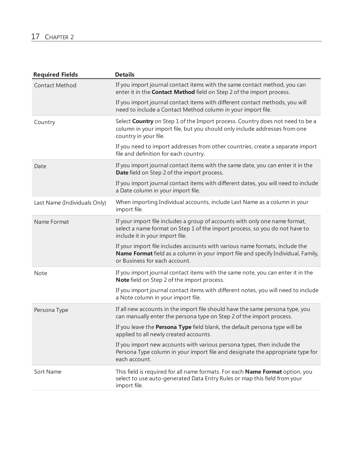| <b>Required Fields</b>       | <b>Details</b>                                                                                                                                                                                     |
|------------------------------|----------------------------------------------------------------------------------------------------------------------------------------------------------------------------------------------------|
| <b>Contact Method</b>        | If you import journal contact items with the same contact method, you can<br>enter it in the <b>Contact Method</b> field on Step 2 of the import process.                                          |
|                              | If you import journal contact items with different contact methods, you will<br>need to include a Contact Method column in your import file.                                                       |
| Country                      | Select Country on Step 1 of the Import process. Country does not need to be a<br>column in your import file, but you should only include addresses from one<br>country in your file.               |
|                              | If you need to import addresses from other countries, create a separate import<br>file and definition for each country.                                                                            |
| Date                         | If you import journal contact items with the same date, you can enter it in the<br>Date field on Step 2 of the import process.                                                                     |
|                              | If you import journal contact items with different dates, you will need to include<br>a Date column in your import file.                                                                           |
| Last Name (Individuals Only) | When importing Individual accounts, include Last Name as a column in your<br>import file.                                                                                                          |
| Name Format                  | If your import file includes a group of accounts with only one name format,<br>select a name format on Step 1 of the import process, so you do not have to<br>include it in your import file.      |
|                              | If your import file includes accounts with various name formats, include the<br>Name Format field as a column in your import file and specify Individual, Family,<br>or Business for each account. |
| <b>Note</b>                  | If you import journal contact items with the same note, you can enter it in the<br>Note field on Step 2 of the import process.                                                                     |
|                              | If you import journal contact items with different notes, you will need to include<br>a Note column in your import file.                                                                           |
| Persona Type                 | If all new accounts in the import file should have the same persona type, you<br>can manually enter the persona type on Step 2 of the import process.                                              |
|                              | If you leave the Persona Type field blank, the default persona type will be<br>applied to all newly created accounts.                                                                              |
|                              | If you import new accounts with various persona types, then include the<br>Persona Type column in your import file and designate the appropriate type for<br>each account.                         |
| Sort Name                    | This field is required for all name formats. For each Name Format option, you<br>select to use auto-generated Data Entry Rules or map this field from your<br>import file.                         |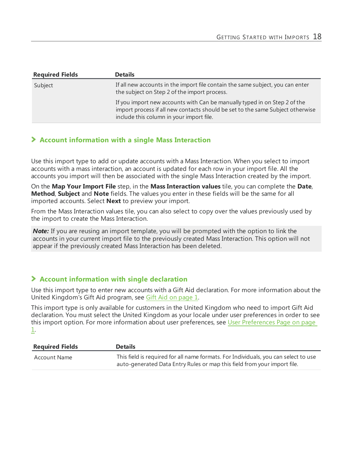| <b>Required Fields</b> | <b>Details</b>                                                                                                                                                                                          |
|------------------------|---------------------------------------------------------------------------------------------------------------------------------------------------------------------------------------------------------|
| Subject                | If all new accounts in the import file contain the same subject, you can enter<br>the subject on Step 2 of the import process.                                                                          |
|                        | If you import new accounts with Can be manually typed in on Step 2 of the<br>import process if all new contacts should be set to the same Subject otherwise<br>include this column in your import file. |

#### **Account information with a single Mass Interaction**

Use this import type to add or update accounts with a Mass Interaction. When you select to import accounts with a mass interaction, an account is updated for each row in your import file. All the accounts you import will then be associated with the single Mass Interaction created by the import.

On the **Map Your Import File** step, in the **Mass Interaction values** tile, you can complete the **Date**, **Method**, **Subject** and **Note** fields. The values you enter in these fields will be the same for all imported accounts. Select **Next** to preview your import.

From the Mass Interaction values tile, you can also select to copy over the values previously used by the import to create the Mass Interaction.

**Note:** If you are reusing an import template, you will be prompted with the option to link the accounts in your current import file to the previously created Mass Interaction. This option will not appear if the previously created Mass Interaction has been deleted.

#### **Account information with single declaration**

Use this import type to enter new accounts with a Gift Aid declaration. For more information about the United Kingdom's Gift Aid program, see Gift Aid on page 1.

This import type is only available for customers in the United Kingdom who need to import Gift Aid declaration. You must select the United Kingdom as your locale under user preferences in order to see this import option. For more information about user preferences, see User Preferences Page on page 1.

| <b>Required Fields</b> | <b>Details</b>                                                                                                                                                  |
|------------------------|-----------------------------------------------------------------------------------------------------------------------------------------------------------------|
| Account Name           | This field is required for all name formats. For Individuals, you can select to use<br>auto-generated Data Entry Rules or map this field from your import file. |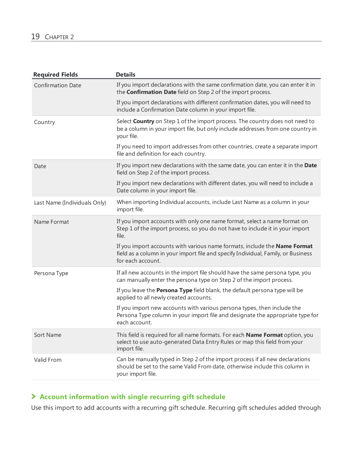| <b>Required Fields</b>       | <b>Details</b>                                                                                                                                                                       |
|------------------------------|--------------------------------------------------------------------------------------------------------------------------------------------------------------------------------------|
| <b>Confirmation Date</b>     | If you import declarations with the same confirmation date, you can enter it in<br>the <b>Confirmation Date</b> field on Step 2 of the import process.                               |
|                              | If you import declarations with different confirmation dates, you will need to<br>include a Confirmation Date column in your import file.                                            |
| Country                      | Select <b>Country</b> on Step 1 of the import process. The country does not need to<br>be a column in your import file, but only include addresses from one country in<br>your file. |
|                              | If you need to import addresses from other countries, create a separate import<br>file and definition for each country.                                                              |
| Date                         | If you import new declarations with the same date, you can enter it in the Date<br>field on Step 2 of the import process.                                                            |
|                              | If you import new declarations with different dates, you will need to include a<br>Date column in your import file.                                                                  |
| Last Name (Individuals Only) | When importing Individual accounts, include Last Name as a column in your<br>import file.                                                                                            |
| Name Format                  | If you import accounts with only one name format, select a name format on<br>Step 1 of the import process, so you do not have to include it in your import<br>file.                  |
|                              | If you import accounts with various name formats, include the Name Format<br>field as a column in your import file and specify Individual, Family, or Business<br>for each account.  |
| Persona Type                 | If all new accounts in the import file should have the same persona type, you<br>can manually enter the persona type on Step 2 of the import process.                                |
|                              | If you leave the <b>Persona Type</b> field blank, the default persona type will be<br>applied to all newly created accounts.                                                         |
|                              | If you import new accounts with various persona types, then include the<br>Persona Type column in your import file and designate the appropriate type for<br>each account.           |
| Sort Name                    | This field is required for all name formats. For each Name Format option, you<br>select to use auto-generated Data Entry Rules or map this field from your<br>import file.           |
| Valid From                   | Can be manually typed in Step 2 of the import process if all new declarations<br>should be set to the same Valid From date, otherwise include this column in<br>your import file.    |

#### **Account information with single recurring gift schedule**

Use this import to add accounts with a recurring gift schedule. Recurring gift schedules added through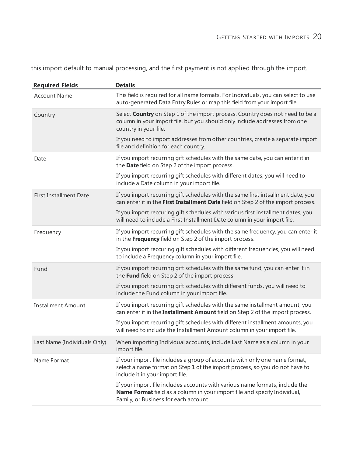this import default to manual processing, and the first payment is not applied through the import.

| <b>Required Fields</b>        | <b>Details</b>                                                                                                                                                                                     |
|-------------------------------|----------------------------------------------------------------------------------------------------------------------------------------------------------------------------------------------------|
| <b>Account Name</b>           | This field is required for all name formats. For Individuals, you can select to use<br>auto-generated Data Entry Rules or map this field from your import file.                                    |
| Country                       | Select Country on Step 1 of the import process. Country does not need to be a<br>column in your import file, but you should only include addresses from one<br>country in your file.               |
|                               | If you need to import addresses from other countries, create a separate import<br>file and definition for each country.                                                                            |
| Date                          | If you import recurring gift schedules with the same date, you can enter it in<br>the Date field on Step 2 of the import process.                                                                  |
|                               | If you import recurring gift schedules with different dates, you will need to<br>include a Date column in your import file.                                                                        |
| <b>First Installment Date</b> | If you import recurring gift schedules with the same first intsallment date, you<br>can enter it in the First Installment Date field on Step 2 of the import process.                              |
|                               | If you import reccuring gift schedules with various first installment dates, you<br>will need to include a First Installment Date column in your import file.                                      |
| Frequency                     | If you import recurring gift schedules with the same frequency, you can enter it<br>in the Frequency field on Step 2 of the import process.                                                        |
|                               | If you import reccuring gift schedules with different frequencies, you will need<br>to include a Frequency column in your import file.                                                             |
| Fund                          | If you import recurring gift schedules with the same fund, you can enter it in<br>the Fund field on Step 2 of the import process.                                                                  |
|                               | If you import recurring gift schedules with different funds, you will need to<br>include the Fund column in your import file.                                                                      |
| <b>Installment Amount</b>     | If you import recurring gift schedules with the same installment amount, you<br>can enter it in the Installment Amount field on Step 2 of the import process.                                      |
|                               | If you import recurring gift schedules with different installment amounts, you<br>will need to include the Installment Amount column in your import file.                                          |
| Last Name (Individuals Only)  | When importing Individual accounts, include Last Name as a column in your<br>import file.                                                                                                          |
| Name Format                   | If your import file includes a group of accounts with only one name format,<br>select a name format on Step 1 of the import process, so you do not have to<br>include it in your import file.      |
|                               | If your import file includes accounts with various name formats, include the<br>Name Format field as a column in your import file and specify Individual,<br>Family, or Business for each account. |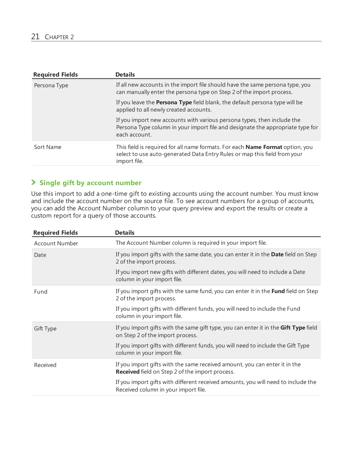| <b>Required Fields</b> | <b>Details</b>                                                                                                                                                                    |
|------------------------|-----------------------------------------------------------------------------------------------------------------------------------------------------------------------------------|
| Persona Type           | If all new accounts in the import file should have the same persona type, you<br>can manually enter the persona type on Step 2 of the import process.                             |
|                        | If you leave the <b>Persona Type</b> field blank, the default persona type will be<br>applied to all newly created accounts.                                                      |
|                        | If you import new accounts with various persona types, then include the<br>Persona Type column in your import file and designate the appropriate type for<br>each account.        |
| Sort Name              | This field is required for all name formats. For each <b>Name Format</b> option, you<br>select to use auto-generated Data Entry Rules or map this field from your<br>import file. |

#### **Single gift by account number**

Use this import to add a one-time gift to existing accounts using the account number. You must know and include the account number on the source file. To see account numbers for a group of accounts, you can add the Account Number column to your query preview and export the results or create a custom report for a query of those accounts.

| <b>Required Fields</b> | <b>Details</b>                                                                                                                       |
|------------------------|--------------------------------------------------------------------------------------------------------------------------------------|
| <b>Account Number</b>  | The Account Number column is required in your import file.                                                                           |
| Date                   | If you import gifts with the same date, you can enter it in the Date field on Step<br>2 of the import process.                       |
|                        | If you import new gifts with different dates, you will need to include a Date<br>column in your import file.                         |
| Fund                   | If you import gifts with the same fund, you can enter it in the Fund field on Step<br>2 of the import process.                       |
|                        | If you import gifts with different funds, you will need to include the Fund<br>column in your import file.                           |
| Gift Type              | If you import gifts with the same gift type, you can enter it in the Gift Type field<br>on Step 2 of the import process.             |
|                        | If you import gifts with different funds, you will need to include the Gift Type<br>column in your import file.                      |
| Received               | If you import gifts with the same received amount, you can enter it in the<br><b>Received</b> field on Step 2 of the import process. |
|                        | If you import gifts with different received amounts, you will need to include the<br>Received column in your import file.            |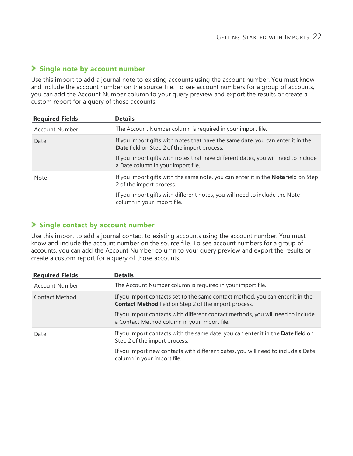#### **Single note by account number**

Use this import to add a journal note to existing accounts using the account number. You must know and include the account number on the source file. To see account numbers for a group of accounts, you can add the Account Number column to your query preview and export the results or create a custom report for a query of those accounts.

| <b>Required Fields</b> | <b>Details</b>                                                                                                                        |
|------------------------|---------------------------------------------------------------------------------------------------------------------------------------|
| <b>Account Number</b>  | The Account Number column is required in your import file.                                                                            |
| Date                   | If you import gifts with notes that have the same date, you can enter it in the<br><b>Date</b> field on Step 2 of the import process. |
|                        | If you import gifts with notes that have different dates, you will need to include<br>a Date column in your import file.              |
| <b>Note</b>            | If you import gifts with the same note, you can enter it in the <b>Note</b> field on Step<br>2 of the import process.                 |
|                        | If you import gifts with different notes, you will need to include the Note<br>column in your import file.                            |

#### **Single contact by account number**

Use this import to add a journal contact to existing accounts using the account number. You must know and include the account number on the source file. To see account numbers for a group of accounts, you can add the Account Number column to your query preview and export the results or create a custom report for a query of those accounts.

| <b>Required Fields</b> | <b>Details</b>                                                                                                                                 |
|------------------------|------------------------------------------------------------------------------------------------------------------------------------------------|
| <b>Account Number</b>  | The Account Number column is required in your import file.                                                                                     |
| Contact Method         | If you import contacts set to the same contact method, you can enter it in the<br><b>Contact Method</b> field on Step 2 of the import process. |
|                        | If you import contacts with different contact methods, you will need to include<br>a Contact Method column in your import file.                |
| Date                   | If you import contacts with the same date, you can enter it in the Date field on<br>Step 2 of the import process.                              |
|                        | If you import new contacts with different dates, you will need to include a Date<br>column in your import file.                                |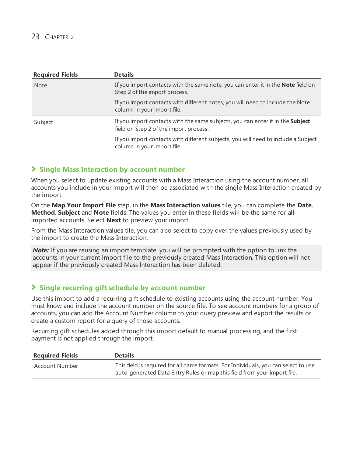| <b>Required Fields</b> | <b>Details</b>                                                                                                           |
|------------------------|--------------------------------------------------------------------------------------------------------------------------|
| <b>Note</b>            | If you import contacts with the same note, you can enter it in the <b>Note</b> field on<br>Step 2 of the import process. |
|                        | If you import contacts with different notes, you will need to include the Note<br>column in your import file.            |
| Subject                | If you import contacts with the same subjects, you can enter it in the Subject<br>field on Step 2 of the import process. |
|                        | If you import contacts with different subjects, you will need to include a Subject<br>column in your import file.        |

#### **Single Mass Interaction by account number**

When you select to update existing accounts with a Mass Interaction using the account number, all accounts you include in your import will then be associated with the single Mass Interaction created by the import.

On the **Map Your Import File** step, in the **Mass Interaction values** tile, you can complete the **Date**, **Method**, **Subject** and **Note** fields. The values you enter in these fields will be the same for all imported accounts. Select **Next** to preview your import.

From the Mass Interaction values tile, you can also select to copy over the values previously used by the import to create the Mass Interaction.

*Note:* If you are reusing an import template, you will be prompted with the option to link the accounts in your current import file to the previously created Mass Interaction. This option will not appear if the previously created Mass Interaction has been deleted.

#### **Single recurring gift schedule by account number**

Use this import to add a recurring gift schedule to existing accounts using the account number. You must know and include the account number on the source file. To see account numbers for a group of accounts, you can add the Account Number column to your query preview and export the results or create a custom report for a query of those accounts.

Recurring gift schedules added through this import default to manual processing, and the first payment is not applied through the import.

| <b>Required Fields</b> | <b>Details</b>                                                                                                                                                  |
|------------------------|-----------------------------------------------------------------------------------------------------------------------------------------------------------------|
| Account Number         | This field is required for all name formats. For Individuals, you can select to use<br>auto-generated Data Entry Rules or map this field from your import file. |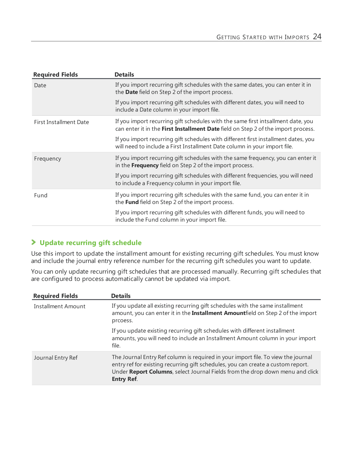| <b>Required Fields</b>        | <b>Details</b>                                                                                                                                                        |
|-------------------------------|-----------------------------------------------------------------------------------------------------------------------------------------------------------------------|
| Date                          | If you import recurring gift schedules with the same dates, you can enter it in<br>the Date field on Step 2 of the import process.                                    |
|                               | If you import recurring gift schedules with different dates, you will need to<br>include a Date column in your import file.                                           |
| <b>First Installment Date</b> | If you import recurring gift schedules with the same first intsallment date, you<br>can enter it in the First Installment Date field on Step 2 of the import process. |
|                               | If you import recurring gift schedules with different first installment dates, you<br>will need to include a First Installment Date column in your import file.       |
| Frequency                     | If you import recurring gift schedules with the same frequency, you can enter it<br>in the Frequency field on Step 2 of the import process.                           |
|                               | If you import recurring gift schedules with different frequencies, you will need<br>to include a Frequency column in your import file.                                |
| Fund                          | If you import recurring gift schedules with the same fund, you can enter it in<br>the Fund field on Step 2 of the import process.                                     |
|                               | If you import recurring gift schedules with different funds, you will need to<br>include the Fund column in your import file.                                         |
|                               |                                                                                                                                                                       |

#### **Update recurring gift schedule**

Use this import to update the installment amount for existing recurring gift schedules. You must know and include the journal entry reference number for the recurring gift schedules you want to update.

You can only update recurring gift schedules that are processed manually. Recurring gift schedules that are configured to process automatically cannot be updated via import.

| <b>Required Fields</b> | <b>Details</b>                                                                                                                                                                                                                                                              |
|------------------------|-----------------------------------------------------------------------------------------------------------------------------------------------------------------------------------------------------------------------------------------------------------------------------|
| Installment Amount     | If you update all existing recurring gift schedules with the same installment<br>amount, you can enter it in the Installment Amountfield on Step 2 of the import<br>prcoess.                                                                                                |
|                        | If you update existing recurring gift schedules with different installment<br>amounts, you will need to include an Installment Amount column in your import<br>file.                                                                                                        |
| Journal Entry Ref      | The Journal Entry Ref column is required in your import file. To view the journal<br>entry ref for existing recurring gift schedules, you can create a custom report.<br>Under Report Columns, select Journal Fields from the drop down menu and click<br><b>Entry Ref.</b> |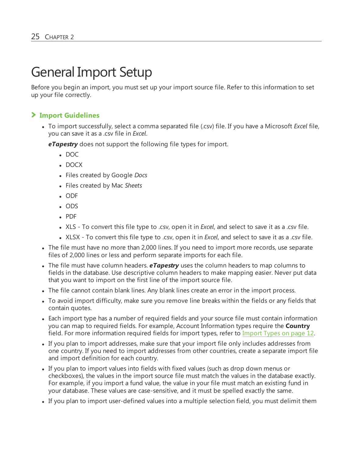### <span id="page-24-0"></span>General Import Setup

Before you begin an import, you must set up your import source file. Refer to this information to set up your file correctly.

#### **Import Guidelines**

• To import successfully, select a comma separated file (.csv) file. If you have a Microsoft *Excel* file, you can save it as a .csv file in *Excel*.

*eTapestry* does not support the following file types for import.

- $\bullet$  DOC
- DOCX
- <sup>l</sup> Files created by Google *Docs*
- <sup>l</sup> Files created by Mac *Sheets*
- ODF
- $\cdot$  ODS
- <sup>l</sup> PDF
- <sup>l</sup> XLS To convert this file type to .csv, open it in *Excel*, and select to save it as a .csv file.
- <sup>l</sup> XLSX To convert this file type to .csv, open it in *Excel*, and select to save it as a .csv file.
- The file must have no more than 2,000 lines. If you need to import more records, use separate files of 2,000 lines or less and perform separate imports for each file.
- <sup>l</sup> The file must have column headers. *eTapestry* uses the column headers to map columns to fields in the database. Use descriptive column headers to make mapping easier. Never put data that you want to import on the first line of the import source file.
- The file cannot contain blank lines. Any blank lines create an error in the import process.
- To avoid import difficulty, make sure you remove line breaks within the fields or any fields that contain quotes.
- Each import type has a number of required fields and your source file must contain information you can map to required fields. For example, Account Information types require the **Country** field. For more information required fields for import types, refer to [Import](#page-11-1) Types on page 12.
- If you plan to import addresses, make sure that your import file only includes addresses from one country. If you need to import addresses from other countries, create a separate import file and import definition for each country.
- If you plan to import values into fields with fixed values (such as drop down menus or checkboxes), the values in the import source file must match the values in the database exactly. For example, if you import a fund value, the value in your file must match an existing fund in your database. These values are case-sensitive, and it must be spelled exactly the same.
- If you plan to import user-defined values into a multiple selection field, you must delimit them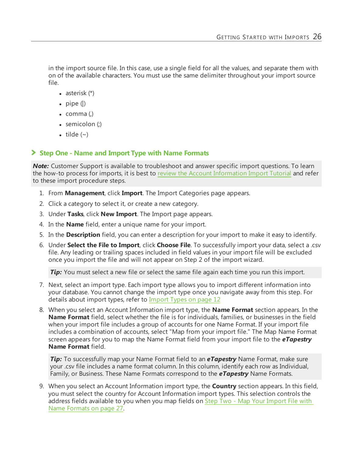in the import source file. In this case, use a single field for all the values, and separate them with on of the available characters. You must use the same delimiter throughout your import source file.

- asterisk  $(*)$
- pipe  $(|)$
- $\bullet$  comma (,)
- $\bullet$  semicolon (;)
- tilde  $(\sim)$

#### **Step One - Name and Import Type with Name Formats**

*Note:* Customer Support is available to troubleshoot and answer specific import questions. To learn the how-to process for imports, it is best to review the Account [Information](https://www.blackbaud.com/files/support/helpfiles/etapestry/etappages/import.htm) Import Tutorial and refer to these import procedure steps.

- 1. From **Management**, click **Import**. The Import Categories page appears.
- 2. Click a category to select it, or create a new category.
- 3. Under **Tasks**, click **New Import**. The Import page appears.
- 4. In the **Name** field, enter a unique name for your import.
- 5. In the **Description** field, you can enter a description for your import to make it easy to identify.
- 6. Under **Select the File to Import**, click **Choose File**. To successfully import your data, select a .csv file. Any leading or trailing spaces included in field values in your import file will be excluded once you import the file and will not appear on Step 2 of the import wizard.

*Tip:* You must select a new file or select the same file again each time you run this import.

- 7. Next, select an import type. Each import type allows you to import different information into your database. You cannot change the import type once you navigate away from this step. For details about import types, refer to [Import](#page-11-1) Types on page 12
- 8. When you select an Account Information import type, the **Name Format** section appears. In the **Name Format** field, select whether the file is for individuals, families, or businesses in the field when your import file includes a group of accounts for one Name Format. If your import file includes a combination of accounts, select "Map from your import file." The Map Name Format screen appears for you to map the Name Format field from your import file to the *eTapestry* **Name Format** field.

*Tip:* To successfully map your Name Format field to an *eTapestry* Name Format, make sure your .csv file includes a name format column. In this column, identify each row as Individual, Family, or Business. These Name Formats correspond to the *eTapestry* Name Formats.

9. When you select an Account Information import type, the **Country** section appears. In this field, you must select the country for Account Information import types. This selection controls the address fields available to you when you map fields on Step Two - Map Your [Import](#page-26-0) File with Name [Formats](#page-26-0) on page 27.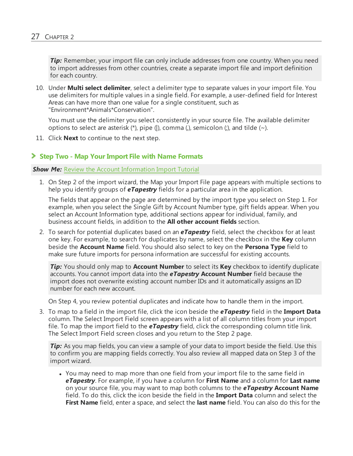*Tip:* Remember, your import file can only include addresses from one country. When you need to import addresses from other countries, create a separate import file and import definition for each country.

10. Under **Multi select delimiter**, select a delimiter type to separate values in your import file. You use delimiters for multiple values in a single field. For example, a user-defined field for Interest Areas can have more than one value for a single constituent, such as "Environment\*Animals\*Conservation".

You must use the delimiter you select consistently in your source file. The available delimiter options to select are asterisk  $(*)$ , pipe  $()$ , comma  $()$ , semicolon  $()$ , and tilde  $(~)$ .

<span id="page-26-0"></span>11. Click **Next** to continue to the next step.

#### **Step Two - Map Your Import File with Name Formats**

#### *Show Me:* Review the Account [Information](https://www.blackbaud.com/files/support/helpfiles/etapestry/etappages/import.htm) Import Tutorial

1. On Step 2 of the import wizard, the Map your Import File page appears with multiple sections to help you identify groups of *eTapestry* fields for a particular area in the application.

The fields that appear on the page are determined by the import type you select on Step 1. For example, when you select the Single Gift by Account Number type, gift fields appear. When you select an Account Information type, additional sections appear for individual, family, and business account fields, in addition to the **All other account fields** section.

2. To search for potential duplicates based on an *eTapestry* field, select the checkbox for at least one key. For example, to search for duplicates by name, select the checkbox in the **Key** column beside the **Account Name** field. You should also select to key on the **Persona Type** field to make sure future imports for persona information are successful for existing accounts.

*Tip:* You should only map to **Account Number** to select its **Key** checkbox to identify duplicate accounts. You cannot import data into the *eTapestry* **Account Number** field because the import does not overwrite existing account number IDs and it automatically assigns an ID number for each new account.

On Step 4, you review potential duplicates and indicate how to handle them in the import.

3. To map to a field in the import file, click the icon beside the *eTapestry* field in the **Import Data** column. The Select Import Field screen appears with a list of all column titles from your import file. To map the import field to the *eTapestry* field, click the corresponding column title link. The Select Import Field screen closes and you return to the Step 2 page.

*Tip:* As you map fields, you can view a sample of your data to import beside the field. Use this to confirm you are mapping fields correctly. You also review all mapped data on Step 3 of the import wizard.

• You may need to map more than one field from your import file to the same field in *eTapestry*. For example, if you have a column for **First Name** and a column for **Last name** on your source file, you may want to map both columns to the *eTapestry* **Account Name** field. To do this, click the icon beside the field in the **Import Data** column and select the **First Name** field, enter a space, and select the **last name** field. You can also do this for the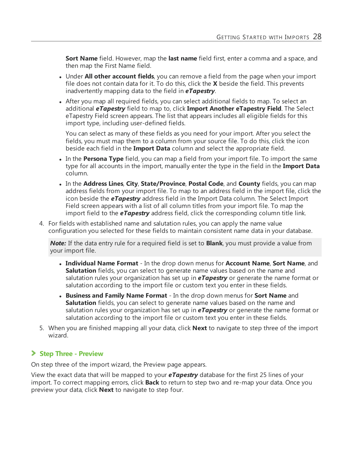**Sort Name** field. However, map the **last name** field first, enter a comma and a space, and then map the First Name field.

- **.** Under **All other account fields**, you can remove a field from the page when your import file does not contain data for it. To do this, click the **X** beside the field. This prevents inadvertently mapping data to the field in *eTapestry*.
- After you map all required fields, you can select additional fields to map. To select an additional *eTapestry* field to map to, click **Import Another eTapestry Field**. The Select eTapestry Field screen appears. The list that appears includes all eligible fields for this import type, including user-defined fields.

You can select as many of these fields as you need for your import. After you select the fields, you must map them to a column from your source file. To do this, click the icon beside each field in the **Import Data** column and select the appropriate field.

- In the **Persona Type** field, you can map a field from your import file. To import the same type for all accounts in the import, manually enter the type in the field in the **Import Data** column.
- **.** In the **Address Lines, City, State/Province, Postal Code, and County fields, you can map** address fields from your import file. To map to an address field in the import file, click the icon beside the *eTapestry* address field in the Import Data column. The Select Import Field screen appears with a list of all column titles from your import file. To map the import field to the *eTapestry* address field, click the corresponding column title link.
- 4. For fields with established name and salutation rules, you can apply the name value configuration you selected for these fields to maintain consistent name data in your database.

*Note:* If the data entry rule for a required field is set to **Blank**, you must provide a value from your import file.

- <sup>l</sup> **Individual Name Format** In the drop down menus for **Account Name**, **Sort Name**, and **Salutation** fields, you can select to generate name values based on the name and salutation rules your organization has set up in *eTapestry* or generate the name format or salutation according to the import file or custom text you enter in these fields.
- <sup>l</sup> **Business and Family Name Format** In the drop down menus for **Sort Name** and **Salutation** fields, you can select to generate name values based on the name and salutation rules your organization has set up in *eTapestry* or generate the name format or salutation according to the import file or custom text you enter in these fields.
- 5. When you are finished mapping all your data, click **Next** to navigate to step three of the import wizard.

#### **Step Three - Preview**

On step three of the import wizard, the Preview page appears.

View the exact data that will be mapped to your *eTapestry* database for the first 25 lines of your import. To correct mapping errors, click **Back** to return to step two and re-map your data. Once you preview your data, click **Next** to navigate to step four.